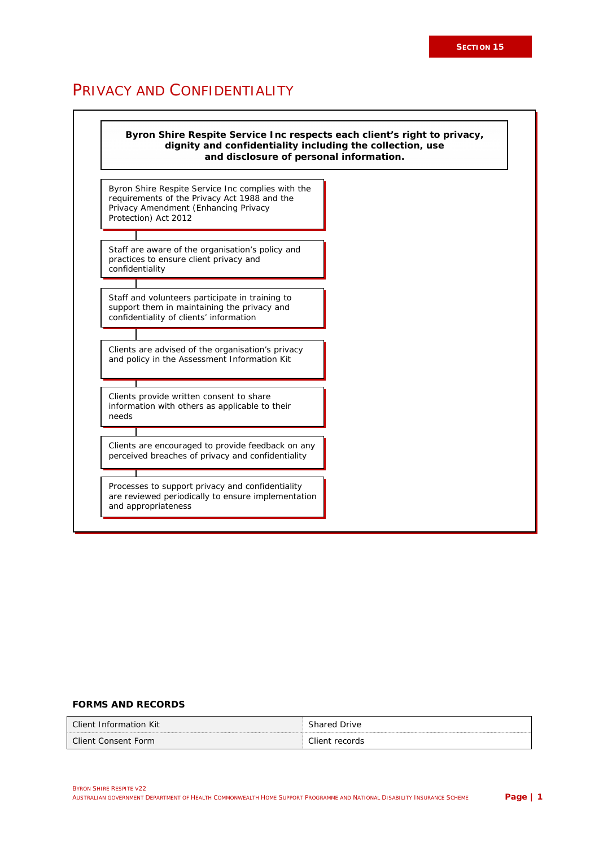# PRIVACY AND CONFIDENTIALITY



#### **FORMS AND RECORDS**

| Client Information Kit | Drive             |
|------------------------|-------------------|
|                        | ihared            |
| Client Consent Form    | ⊡lient<br>records |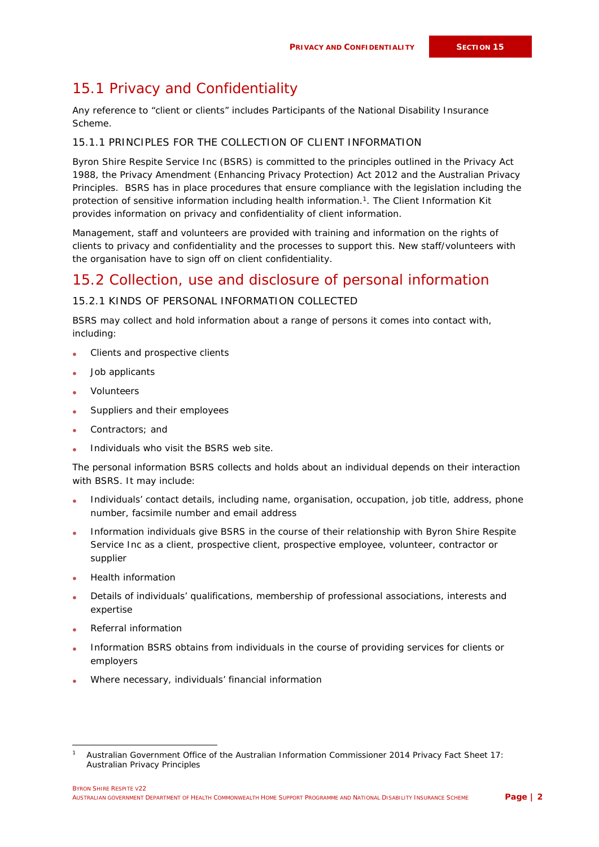# 15.1 Privacy and Confidentiality

Any reference to "client or clients" includes Participants of the National Disability Insurance Scheme.

#### 15.1.1 PRINCIPLES FOR THE COLLECTION OF CLIENT INFORMATION

Byron Shire Respite Service Inc (BSRS) is committed to the principles outlined in the *Privacy Act 1988,* the *Privacy Amendment (Enhancing Privacy Protection) Act 2012* and the Australian Privacy Principles. BSRS has in place procedures that ensure compliance with the legislation including the protection of sensitive information including health information.<sup>1</sup>. The Client Information Kit provides information on privacy and confidentiality of client information.

Management, staff and volunteers are provided with training and information on the rights of clients to privacy and confidentiality and the processes to support this. New staff/volunteers with the organisation have to sign off on client confidentiality.

## 15.2 Collection, use and disclosure of personal information

### 15.2.1 KINDS OF PERSONAL INFORMATION COLLECTED

BSRS may collect and hold information about a range of persons it comes into contact with, including:

- Clients and prospective clients
- Job applicants
- Volunteers
- Suppliers and their employees
- Contractors; and
- Individuals who visit the BSRS web site.

The personal information BSRS collects and holds about an individual depends on their interaction with BSRS. It may include:

- Individuals' contact details, including name, organisation, occupation, job title, address, phone number, facsimile number and email address
- Information individuals give BSRS in the course of their relationship with Byron Shire Respite Service Inc as a client, prospective client, prospective employee, volunteer, contractor or supplier
- Health information
- Details of individuals' qualifications, membership of professional associations, interests and expertise
- Referral information
- Information BSRS obtains from individuals in the course of providing services for clients or employers
- Where necessary, individuals' financial information

<sup>1</sup> Australian Government Office of the Australian Information Commissioner 2014 *Privacy Fact Sheet 17: Australian Privacy Principles*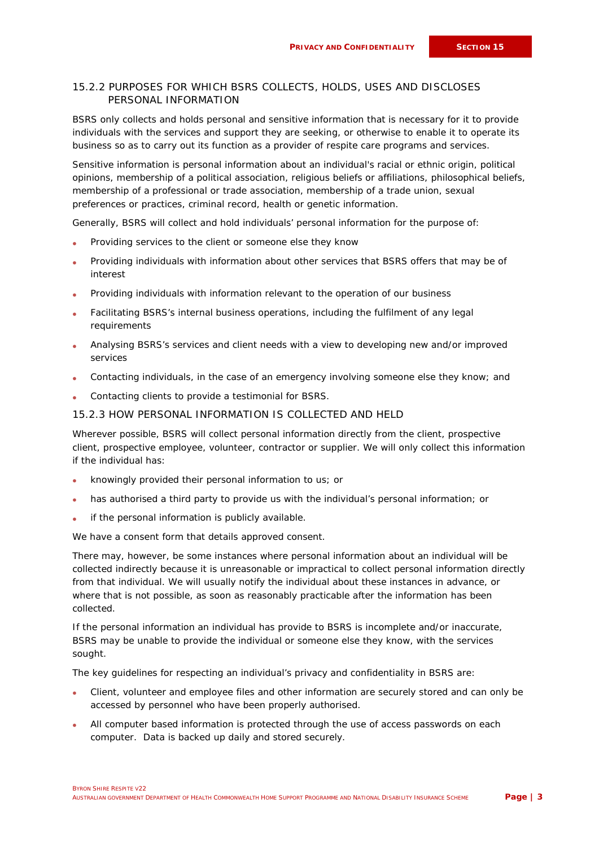### 15.2.2 PURPOSES FOR WHICH BSRS COLLECTS, HOLDS, USES AND DISCLOSES PERSONAL INFORMATION

BSRS only collects and holds personal and sensitive information that is necessary for it to provide individuals with the services and support they are seeking, or otherwise to enable it to operate its business so as to carry out its function as a provider of respite care programs and services.

Sensitive information is personal information about an individual's racial or ethnic origin, political opinions, membership of a political association, religious beliefs or affiliations, philosophical beliefs, membership of a professional or trade association, membership of a trade union, sexual preferences or practices, criminal record, health or genetic information.

Generally, BSRS will collect and hold individuals' personal information for the purpose of:

- Providing services to the client or someone else they know
- Providing individuals with information about other services that BSRS offers that may be of interest
- Providing individuals with information relevant to the operation of our business
- Facilitating BSRS's internal business operations, including the fulfilment of any legal requirements
- Analysing BSRS's services and client needs with a view to developing new and/or improved services
- Contacting individuals, in the case of an emergency involving someone else they know; and
- Contacting clients to provide a testimonial for BSRS.

### 15.2.3 HOW PERSONAL INFORMATION IS COLLECTED AND HELD

Wherever possible, BSRS will collect personal information directly from the client, prospective client, prospective employee, volunteer, contractor or supplier. We will only collect this information if the individual has:

- knowingly provided their personal information to us; or
- has authorised a third party to provide us with the individual's personal information; or
- if the personal information is publicly available.

We have a consent form that details approved consent.

There may, however, be some instances where personal information about an individual will be collected indirectly because it is unreasonable or impractical to collect personal information directly from that individual. We will usually notify the individual about these instances in advance, or where that is not possible, as soon as reasonably practicable after the information has been collected.

If the personal information an individual has provide to BSRS is incomplete and/or inaccurate, BSRS may be unable to provide the individual or someone else they know, with the services sought.

The key guidelines for respecting an individual's privacy and confidentiality in BSRS are:

- Client, volunteer and employee files and other information are securely stored and can only be accessed by personnel who have been properly authorised.
- All computer based information is protected through the use of access passwords on each computer. Data is backed up daily and stored securely.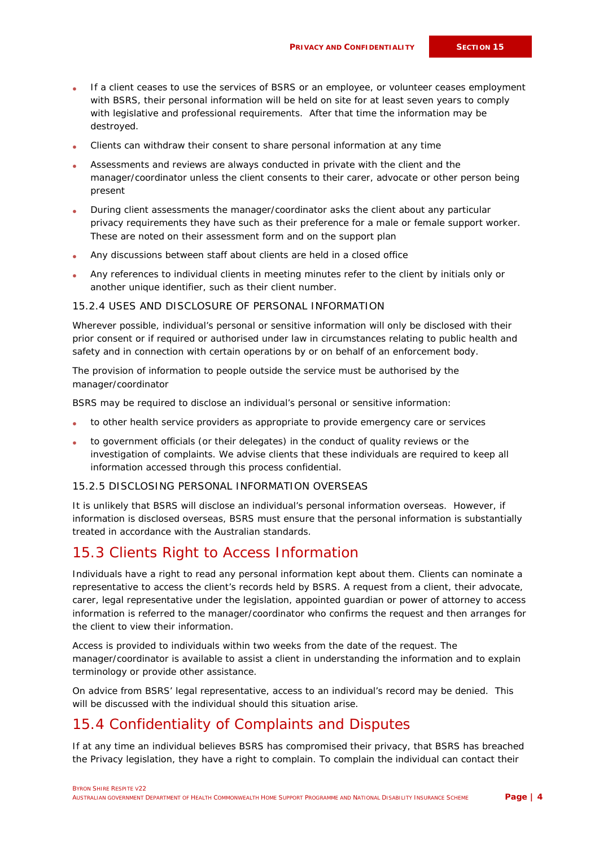- If a client ceases to use the services of BSRS or an employee, or volunteer ceases employment with BSRS, their personal information will be held on site for at least seven years to comply with legislative and professional requirements. After that time the information may be destroyed.
- Clients can withdraw their consent to share personal information at any time
- Assessments and reviews are always conducted in private with the client and the manager/coordinator unless the client consents to their carer, advocate or other person being present
- During client assessments the manager/coordinator asks the client about any particular privacy requirements they have such as their preference for a male or female support worker. These are noted on their assessment form and on the support plan
- Any discussions between staff about clients are held in a closed office
- Any references to individual clients in meeting minutes refer to the client by initials only or another unique identifier, such as their client number.

#### 15.2.4 USES AND DISCLOSURE OF PERSONAL INFORMATION

Wherever possible, individual's personal or sensitive information will only be disclosed with their prior consent or if required or authorised under law in circumstances relating to public health and safety and in connection with certain operations by or on behalf of an enforcement body.

The provision of information to people outside the service must be authorised by the manager/coordinator

BSRS may be required to disclose an individual's personal or sensitive information:

- to other health service providers as appropriate to provide emergency care or services
- to government officials (or their delegates) in the conduct of quality reviews or the investigation of complaints. We advise clients that these individuals are required to keep all information accessed through this process confidential.

#### 15.2.5 DISCLOSING PERSONAL INFORMATION OVERSEAS

It is unlikely that BSRS will disclose an individual's personal information overseas. However, if information is disclosed overseas, BSRS must ensure that the personal information is substantially treated in accordance with the Australian standards.

## 15.3 Clients Right to Access Information

Individuals have a right to read any personal information kept about them. Clients can nominate a representative to access the client's records held by BSRS. A request from a client, their advocate, carer, legal representative under the legislation, appointed guardian or power of attorney to access information is referred to the manager/coordinator who confirms the request and then arranges for the client to view their information.

Access is provided to individuals within two weeks from the date of the request. The manager/coordinator is available to assist a client in understanding the information and to explain terminology or provide other assistance.

On advice from BSRS' legal representative, access to an individual's record may be denied. This will be discussed with the individual should this situation arise.

## 15.4 Confidentiality of Complaints and Disputes

If at any time an individual believes BSRS has compromised their privacy, that BSRS has breached the Privacy legislation, they have a right to complain. To complain the individual can contact their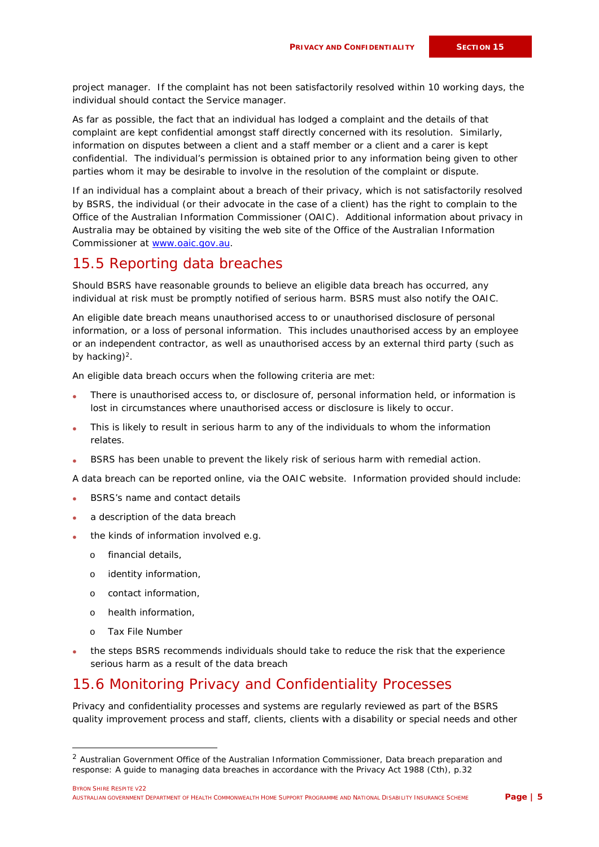project manager. If the complaint has not been satisfactorily resolved within 10 working days, the individual should contact the Service manager.

As far as possible, the fact that an individual has lodged a complaint and the details of that complaint are kept confidential amongst staff directly concerned with its resolution. Similarly, information on disputes between a client and a staff member or a client and a carer is kept confidential. The individual's permission is obtained prior to any information being given to other parties whom it may be desirable to involve in the resolution of the complaint or dispute.

If an individual has a complaint about a breach of their privacy, which is not satisfactorily resolved by BSRS, the individual (or their advocate in the case of a client) has the right to complain to the Office of the Australian Information Commissioner (OAIC). Additional information about privacy in Australia may be obtained by visiting the web site of the Office of the Australian Information Commissioner at [www.oaic.gov.au.](http://www.oaic.gov.au/)

### 15.5 Reporting data breaches

Should BSRS have reasonable grounds to believe an eligible data breach has occurred, any individual at risk must be promptly notified of serious harm. BSRS must also notify the OAIC.

An eligible date breach means unauthorised access to or unauthorised disclosure of personal information, or a loss of personal information. This includes unauthorised access by an employee or an independent contractor, as well as unauthorised access by an external third party (such as by hacking) $<sup>2</sup>$ .</sup>

An eligible data breach occurs when the following criteria are met:

- There is unauthorised access to, or disclosure of, personal information held, or information is lost in circumstances where unauthorised access or disclosure is likely to occur.
- This is likely to result in serious harm to any of the individuals to whom the information relates.
- *BSRS* has been unable to prevent the likely risk of serious harm with remedial action.

A data breach can be reported online, via the OAIC website. Information provided should include:

- BSRS's name and contact details
- a description of the data breach
- the kinds of information involved e.g.
	- o financial details,
	- o identity information,
	- o contact information,
	- o health information,
	- o Tax File Number
- the steps BSRS recommends individuals should take to reduce the risk that the experience serious harm as a result of the data breach

## 15.6 Monitoring Privacy and Confidentiality Processes

Privacy and confidentiality processes and systems are regularly reviewed as part of the BSRS quality improvement process and staff, clients, clients with a disability or special needs and other

<sup>&</sup>lt;sup>2</sup> Australian Government Office of the Australian Information Commissioner, Data breach preparation and response: A guide to managing data breaches in accordance with the Privacy Act 1988 (Cth), p.32